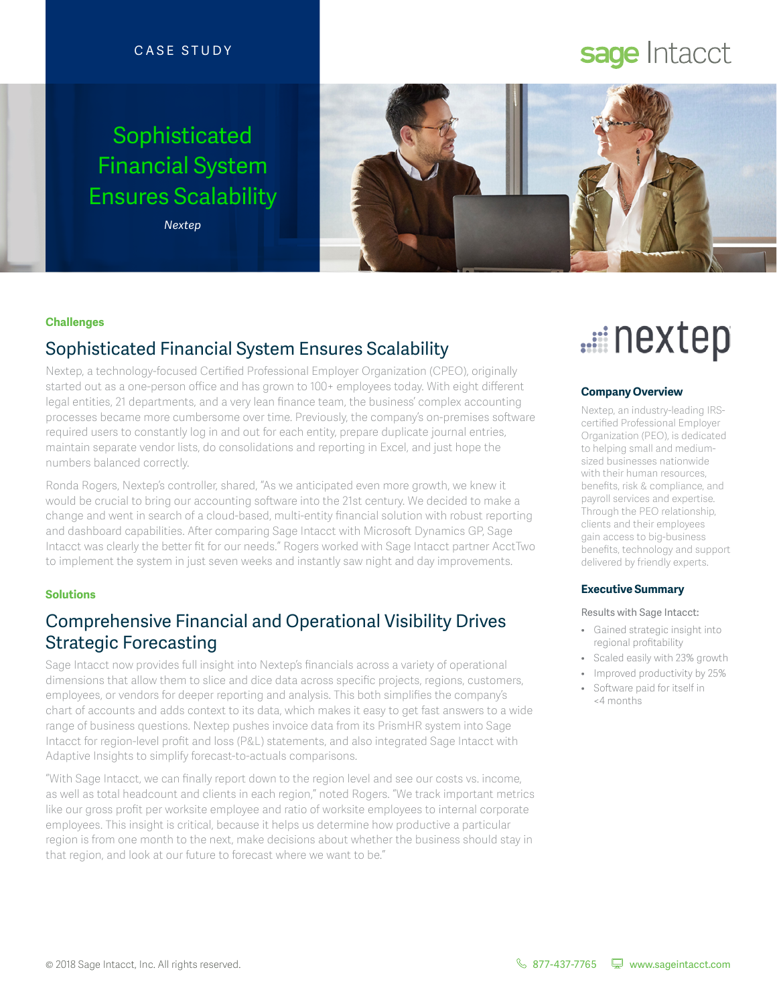#### CASE STUDY

## Sophisticated Financial System Ensures Scalability

*Nextep*



#### **Challenges**

## Sophisticated Financial System Ensures Scalability

Nextep, a technology-focused Certified Professional Employer Organization (CPEO), originally started out as a one-person office and has grown to 100+ employees today. With eight different legal entities, 21 departments, and a very lean finance team, the business' complex accounting processes became more cumbersome over time. Previously, the company's on-premises software required users to constantly log in and out for each entity, prepare duplicate journal entries, maintain separate vendor lists, do consolidations and reporting in Excel, and just hope the numbers balanced correctly.

Ronda Rogers, Nextep's controller, shared, "As we anticipated even more growth, we knew it would be crucial to bring our accounting software into the 21st century. We decided to make a change and went in search of a cloud-based, multi-entity financial solution with robust reporting and dashboard capabilities. After comparing Sage Intacct with Microsoft Dynamics GP, Sage Intacct was clearly the better fit for our needs." Rogers worked with Sage Intacct partner AcctTwo to implement the system in just seven weeks and instantly saw night and day improvements.

#### **Solutions**

### Comprehensive Financial and Operational Visibility Drives Strategic Forecasting

Sage Intacct now provides full insight into Nextep's financials across a variety of operational dimensions that allow them to slice and dice data across specific projects, regions, customers, employees, or vendors for deeper reporting and analysis. This both simplifies the company's chart of accounts and adds context to its data, which makes it easy to get fast answers to a wide range of business questions. Nextep pushes invoice data from its PrismHR system into Sage Intacct for region-level profit and loss (P&L) statements, and also integrated Sage Intacct with Adaptive Insights to simplify forecast-to-actuals comparisons.

"With Sage Intacct, we can finally report down to the region level and see our costs vs. income, as well as total headcount and clients in each region," noted Rogers. "We track important metrics like our gross profit per worksite employee and ratio of worksite employees to internal corporate employees. This insight is critical, because it helps us determine how productive a particular region is from one month to the next, make decisions about whether the business should stay in that region, and look at our future to forecast where we want to be."

# ....ii nextep

#### **Company Overview**

Nextep, an industry-leading IRScertified Professional Employer Organization (PEO), is dedicated to helping small and mediumsized businesses nationwide with their human resources, benefits, risk & compliance, and payroll services and expertise. Through the PEO relationship, clients and their employees gain access to big-business benefits, technology and support delivered by friendly experts.

#### **Executive Summary**

#### Results with Sage Intacct:

- Gained strategic insight into regional profitability
- Scaled easily with 23% growth
- Improved productivity by 25%
- Software paid for itself in <4 months